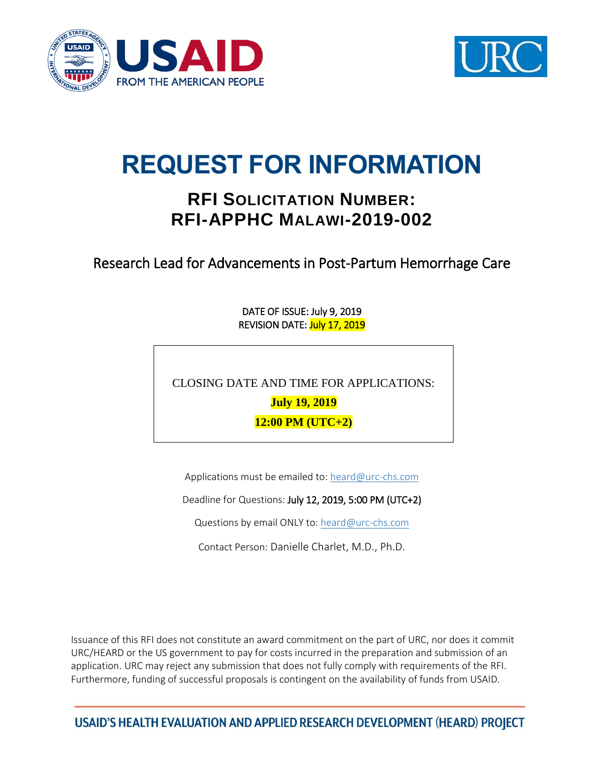



# **REQUEST FOR INFORMATION**

## **RFI SOLICITATION NUMBER: RFI-APPHC MALAWI-2019-002**

Research Lead for Advancements in Post-Partum Hemorrhage Care

DATE OF ISSUE: July 9, 2019 REVISION DATE: July 17, 2019

CLOSING DATE AND TIME FOR APPLICATIONS:

**July 19, 2019**

**12:00 PM (UTC+2)**

Applications must be emailed to: [heard@urc-chs.com](mailto:heard@urc-chs.com)

Deadline for Questions: July 12, 2019, 5:00 PM (UTC+2)

Questions by email ONLY to: [heard@urc-chs.com](mailto:heard@urc-chs.com)

Contact Person: Danielle Charlet, M.D., Ph.D.

Issuance of this RFI does not constitute an award commitment on the part of URC, nor does it commit URC/HEARD or the US government to pay for costs incurred in the preparation and submission of an application. URC may reject any submission that does not fully comply with requirements of the RFI. Furthermore, funding of successful proposals is contingent on the availability of funds from USAID.

USAID'S HEALTH EVALUATION AND APPLIED RESEARCH DEVELOPMENT (HEARD) PROJECT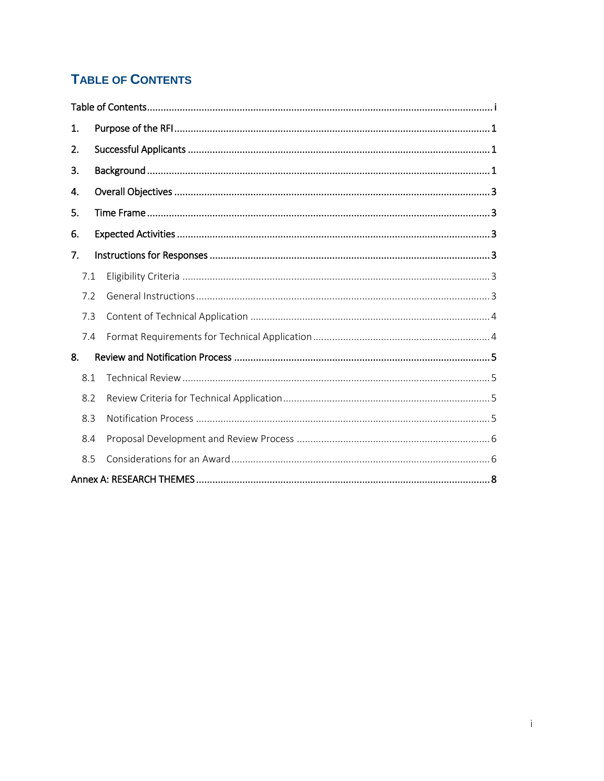## <span id="page-1-0"></span>**TABLE OF CONTENTS**

| 1.  |
|-----|
| 2.  |
| 3.  |
| 4.  |
| 5.  |
| 6.  |
| 7.  |
| 7.1 |
| 7.2 |
| 7.3 |
| 7.4 |
| 8.  |
| 8.1 |
| 8.2 |
| 8.3 |
| 8.4 |
| 8.5 |
|     |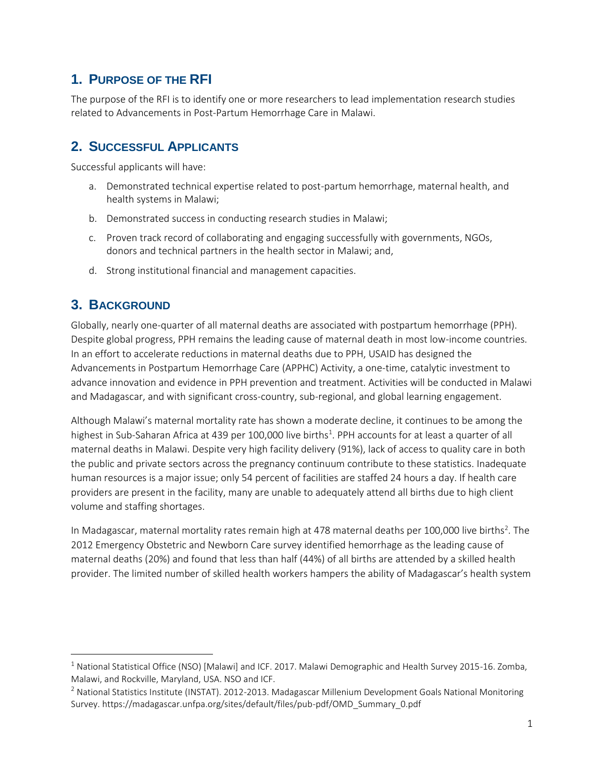## <span id="page-2-0"></span>**1. PURPOSE OF THE RFI**

The purpose of the RFI is to identify one or more researchers to lead implementation research studies related to Advancements in Post-Partum Hemorrhage Care in Malawi.

## <span id="page-2-1"></span>**2. SUCCESSFUL APPLICANTS**

Successful applicants will have:

- a. Demonstrated technical expertise related to post-partum hemorrhage, maternal health, and health systems in Malawi;
- b. Demonstrated success in conducting research studies in Malawi;
- c. Proven track record of collaborating and engaging successfully with governments, NGOs, donors and technical partners in the health sector in Malawi; and,
- d. Strong institutional financial and management capacities.

## <span id="page-2-2"></span>**3. BACKGROUND**

 $\overline{a}$ 

Globally, nearly one-quarter of all maternal deaths are associated with postpartum hemorrhage (PPH). Despite global progress, PPH remains the leading cause of maternal death in most low-income countries. In an effort to accelerate reductions in maternal deaths due to PPH, USAID has designed the Advancements in Postpartum Hemorrhage Care (APPHC) Activity, a one-time, catalytic investment to advance innovation and evidence in PPH prevention and treatment. Activities will be conducted in Malawi and Madagascar, and with significant cross-country, sub-regional, and global learning engagement.

Although Malawi's maternal mortality rate has shown a moderate decline, it continues to be among the highest in Sub-Saharan Africa at 439 per 100,000 live births<sup>1</sup>. PPH accounts for at least a quarter of all maternal deaths in Malawi. Despite very high facility delivery (91%), lack of access to quality care in both the public and private sectors across the pregnancy continuum contribute to these statistics. Inadequate human resources is a major issue; only 54 percent of facilities are staffed 24 hours a day. If health care providers are present in the facility, many are unable to adequately attend all births due to high client volume and staffing shortages.

In Madagascar, maternal mortality rates remain high at 478 maternal deaths per 100,000 live births<sup>2</sup>. The 2012 Emergency Obstetric and Newborn Care survey identified hemorrhage as the leading cause of maternal deaths (20%) and found that less than half (44%) of all births are attended by a skilled health provider. The limited number of skilled health workers hampers the ability of Madagascar's health system

 $1$  National Statistical Office (NSO) [Malawi] and ICF. 2017. Malawi Demographic and Health Survey 2015-16. Zomba, Malawi, and Rockville, Maryland, USA. NSO and ICF.

<sup>&</sup>lt;sup>2</sup> National Statistics Institute (INSTAT). 2012-2013. Madagascar Millenium Development Goals National Monitoring Survey. https://madagascar.unfpa.org/sites/default/files/pub-pdf/OMD\_Summary\_0.pdf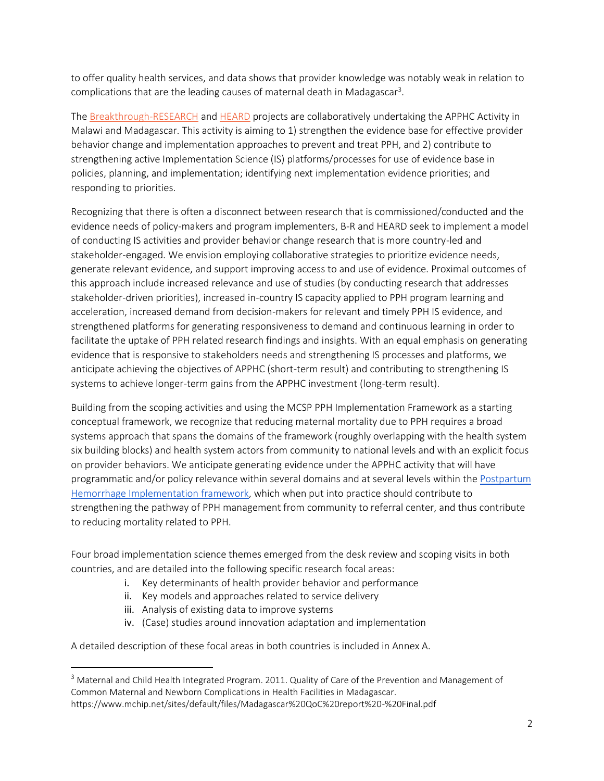to offer quality health services, and data shows that provider knowledge was notably weak in relation to complications that are the leading causes of maternal death in Madagascar<sup>3</sup>.

The [Breakthrough-RESEARCH](https://breakthroughactionandresearch.org/about/breakthrough-research/) and [HEARD](https://www.heardproject.org/) projects are collaboratively undertaking the APPHC Activity in Malawi and Madagascar. This activity is aiming to 1) strengthen the evidence base for effective provider behavior change and implementation approaches to prevent and treat PPH, and 2) contribute to strengthening active Implementation Science (IS) platforms/processes for use of evidence base in policies, planning, and implementation; identifying next implementation evidence priorities; and responding to priorities.

Recognizing that there is often a disconnect between research that is commissioned/conducted and the evidence needs of policy-makers and program implementers, B-R and HEARD seek to implement a model of conducting IS activities and provider behavior change research that is more country-led and stakeholder-engaged. We envision employing collaborative strategies to prioritize evidence needs, generate relevant evidence, and support improving access to and use of evidence. Proximal outcomes of this approach include increased relevance and use of studies (by conducting research that addresses stakeholder-driven priorities), increased in-country IS capacity applied to PPH program learning and acceleration, increased demand from decision-makers for relevant and timely PPH IS evidence, and strengthened platforms for generating responsiveness to demand and continuous learning in order to facilitate the uptake of PPH related research findings and insights. With an equal emphasis on generating evidence that is responsive to stakeholders needs and strengthening IS processes and platforms, we anticipate achieving the objectives of APPHC (short-term result) and contributing to strengthening IS systems to achieve longer-term gains from the APPHC investment (long-term result).

Building from the scoping activities and using the MCSP PPH Implementation Framework as a starting conceptual framework, we recognize that reducing maternal mortality due to PPH requires a broad systems approach that spans the domains of the framework (roughly overlapping with the health system six building blocks) and health system actors from community to national levels and with an explicit focus on provider behaviors. We anticipate generating evidence under the APPHC activity that will have programmatic and/or policy relevance within several domains and at several levels within th[e Postpartum](https://www.mcsprogram.org/resource/postpartum-hemorrhage-implementation-framework/)  [Hemorrhage Implementation framework,](https://www.mcsprogram.org/resource/postpartum-hemorrhage-implementation-framework/) which when put into practice should contribute to strengthening the pathway of PPH management from community to referral center, and thus contribute to reducing mortality related to PPH.

Four broad implementation science themes emerged from the desk review and scoping visits in both countries, and are detailed into the following specific research focal areas:

- i. Key determinants of health provider behavior and performance
- ii. Key models and approaches related to service delivery
- iii. Analysis of existing data to improve systems

 $\overline{\phantom{a}}$ 

iv. (Case) studies around innovation adaptation and implementation

A detailed description of these focal areas in both countries is included in Annex A.

<sup>&</sup>lt;sup>3</sup> Maternal and Child Health Integrated Program. 2011. Quality of Care of the Prevention and Management of Common Maternal and Newborn Complications in Health Facilities in Madagascar.

https://www.mchip.net/sites/default/files/Madagascar%20QoC%20report%20-%20Final.pdf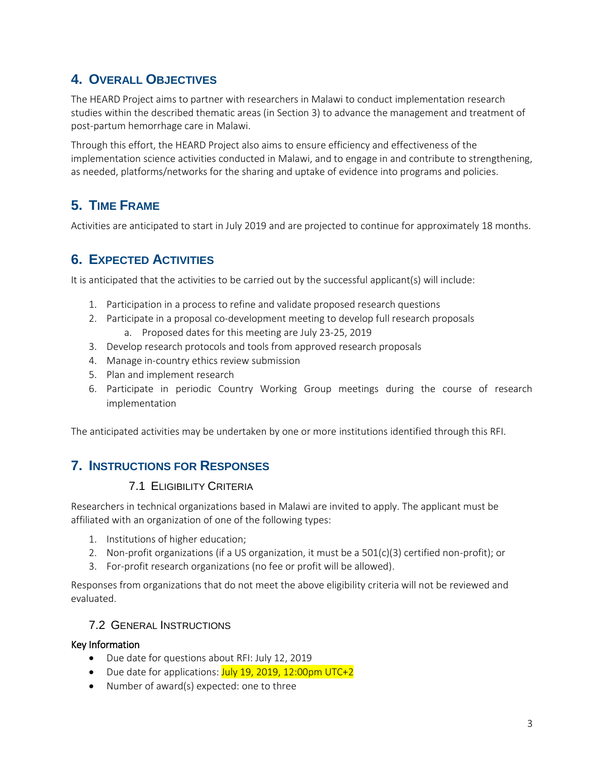## <span id="page-4-0"></span>**4. OVERALL OBJECTIVES**

The HEARD Project aims to partner with researchers in Malawi to conduct implementation research studies within the described thematic areas (in Section 3) to advance the management and treatment of post-partum hemorrhage care in Malawi.

Through this effort, the HEARD Project also aims to ensure efficiency and effectiveness of the implementation science activities conducted in Malawi, and to engage in and contribute to strengthening, as needed, platforms/networks for the sharing and uptake of evidence into programs and policies.

## <span id="page-4-1"></span>**5. TIME FRAME**

Activities are anticipated to start in July 2019 and are projected to continue for approximately 18 months.

## <span id="page-4-2"></span>**6. EXPECTED ACTIVITIES**

It is anticipated that the activities to be carried out by the successful applicant(s) will include:

- 1. Participation in a process to refine and validate proposed research questions
- 2. Participate in a proposal co-development meeting to develop full research proposals
	- a. Proposed dates for this meeting are July 23-25, 2019
- 3. Develop research protocols and tools from approved research proposals
- 4. Manage in-country ethics review submission
- 5. Plan and implement research
- 6. Participate in periodic Country Working Group meetings during the course of research implementation

The anticipated activities may be undertaken by one or more institutions identified through this RFI.

## <span id="page-4-4"></span><span id="page-4-3"></span>**7. INSTRUCTIONS FOR RESPONSES**

#### 7.1 ELIGIBILITY CRITERIA

Researchers in technical organizations based in Malawi are invited to apply. The applicant must be affiliated with an organization of one of the following types:

- 1. Institutions of higher education;
- 2. Non-profit organizations (if a US organization, it must be a 501(c)(3) certified non-profit); or
- 3. For-profit research organizations (no fee or profit will be allowed).

Responses from organizations that do not meet the above eligibility criteria will not be reviewed and evaluated.

#### <span id="page-4-5"></span>7.2 GENERAL INSTRUCTIONS

#### Key Information

- Due date for questions about RFI: July 12, 2019
- Due date for applications:  $July 19, 2019, 12:00pm UTC+2$
- Number of award(s) expected: one to three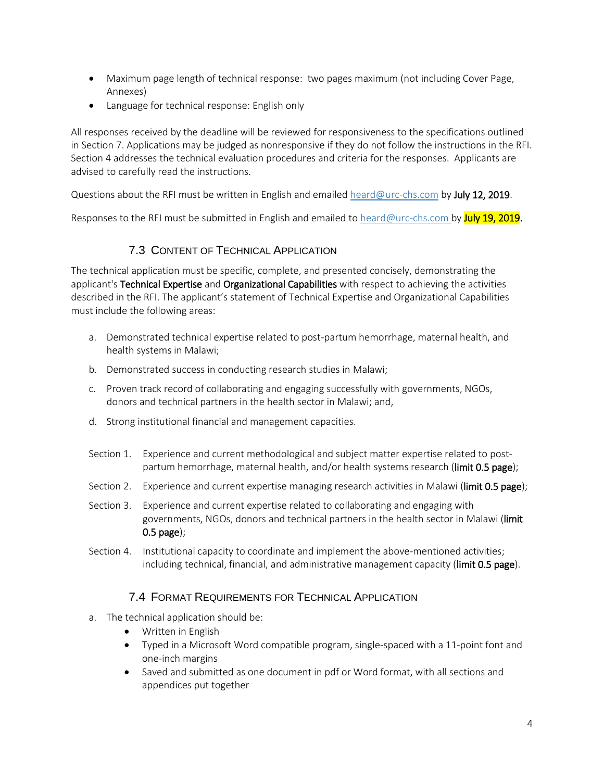- Maximum page length of technical response: two pages maximum (not including Cover Page, Annexes)
- Language for technical response: English only

All responses received by the deadline will be reviewed for responsiveness to the specifications outlined in Section 7. Applications may be judged as nonresponsive if they do not follow the instructions in the RFI. Section 4 addresses the technical evaluation procedures and criteria for the responses. Applicants are advised to carefully read the instructions.

Questions about the RFI must be written in English and emailed [heard@urc-chs.com](mailto:heard@urc-chs.com) by July 12, 2019.

Responses to the RFI must be submitted in English and emailed to [heard@urc-chs.com](mailto:heard@urc-chs.com) by July 19, 2019.

#### 7.3 CONTENT OF TECHNICAL APPLICATION

<span id="page-5-0"></span>The technical application must be specific, complete, and presented concisely, demonstrating the applicant's Technical Expertise and Organizational Capabilities with respect to achieving the activities described in the RFI. The applicant's statement of Technical Expertise and Organizational Capabilities must include the following areas:

- a. Demonstrated technical expertise related to post-partum hemorrhage, maternal health, and health systems in Malawi;
- b. Demonstrated success in conducting research studies in Malawi;
- c. Proven track record of collaborating and engaging successfully with governments, NGOs, donors and technical partners in the health sector in Malawi; and,
- d. Strong institutional financial and management capacities.
- Section 1. Experience and current methodological and subject matter expertise related to postpartum hemorrhage, maternal health, and/or health systems research (limit 0.5 page);
- Section 2. Experience and current expertise managing research activities in Malawi (limit 0.5 page);
- Section 3. Experience and current expertise related to collaborating and engaging with governments, NGOs, donors and technical partners in the health sector in Malawi (limit 0.5 page);
- Section 4. Institutional capacity to coordinate and implement the above-mentioned activities; including technical, financial, and administrative management capacity (limit 0.5 page).

#### 7.4 FORMAT REQUIREMENTS FOR TECHNICAL APPLICATION

- <span id="page-5-1"></span>a. The technical application should be:
	- Written in English
	- Typed in a Microsoft Word compatible program, single-spaced with a 11-point font and one-inch margins
	- Saved and submitted as one document in pdf or Word format, with all sections and appendices put together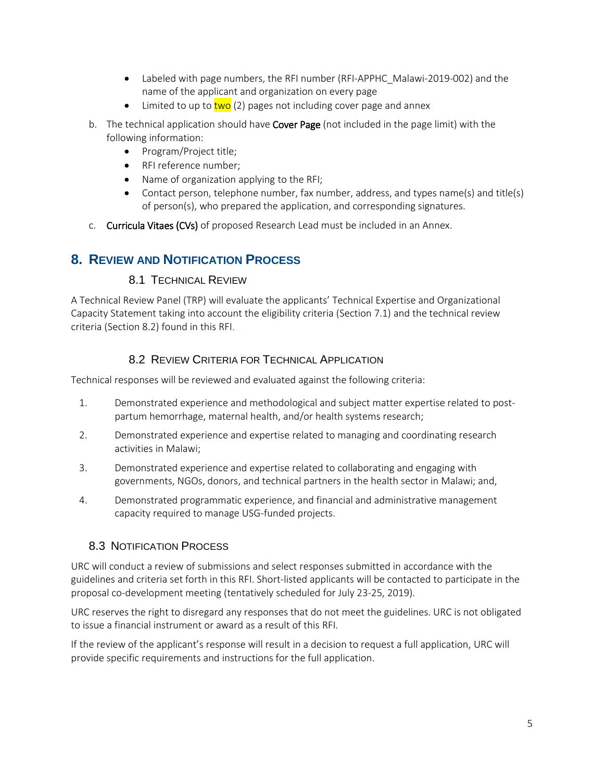- Labeled with page numbers, the RFI number (RFI-APPHC\_Malawi-2019-002) and the name of the applicant and organization on every page
- Limited to up to  $two$  (2) pages not including cover page and annex
- b. The technical application should have Cover Page (not included in the page limit) with the following information:
	- Program/Project title;
	- RFI reference number;
	- Name of organization applying to the RFI;
	- Contact person, telephone number, fax number, address, and types name(s) and title(s) of person(s), who prepared the application, and corresponding signatures.
- c. Curricula Vitaes (CVs) of proposed Research Lead must be included in an Annex.

### <span id="page-6-1"></span><span id="page-6-0"></span>**8. REVIEW AND NOTIFICATION PROCESS**

#### 8.1 TECHNICAL REVIEW

A Technical Review Panel (TRP) will evaluate the applicants' Technical Expertise and Organizational Capacity Statement taking into account the eligibility criteria (Section 7.1) and the technical review criteria (Section 8.2) found in this RFI.

#### 8.2 REVIEW CRITERIA FOR TECHNICAL APPLICATION

<span id="page-6-2"></span>Technical responses will be reviewed and evaluated against the following criteria:

- 1. Demonstrated experience and methodological and subject matter expertise related to postpartum hemorrhage, maternal health, and/or health systems research;
- 2. Demonstrated experience and expertise related to managing and coordinating research activities in Malawi;
- 3. Demonstrated experience and expertise related to collaborating and engaging with governments, NGOs, donors, and technical partners in the health sector in Malawi; and,
- 4. Demonstrated programmatic experience, and financial and administrative management capacity required to manage USG-funded projects.

#### <span id="page-6-3"></span>8.3 NOTIFICATION PROCESS

URC will conduct a review of submissions and select responses submitted in accordance with the guidelines and criteria set forth in this RFI. Short-listed applicants will be contacted to participate in the proposal co-development meeting (tentatively scheduled for July 23-25, 2019).

URC reserves the right to disregard any responses that do not meet the guidelines. URC is not obligated to issue a financial instrument or award as a result of this RFI.

If the review of the applicant's response will result in a decision to request a full application, URC will provide specific requirements and instructions for the full application.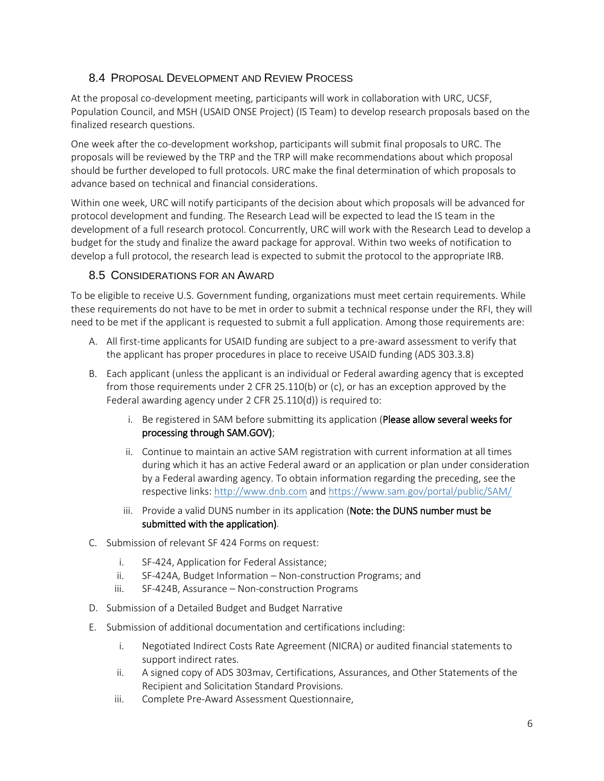#### <span id="page-7-0"></span>8.4 PROPOSAL DEVELOPMENT AND REVIEW PROCESS

At the proposal co-development meeting, participants will work in collaboration with URC, UCSF, Population Council, and MSH (USAID ONSE Project) (IS Team) to develop research proposals based on the finalized research questions.

One week after the co-development workshop, participants will submit final proposals to URC. The proposals will be reviewed by the TRP and the TRP will make recommendations about which proposal should be further developed to full protocols. URC make the final determination of which proposals to advance based on technical and financial considerations.

Within one week, URC will notify participants of the decision about which proposals will be advanced for protocol development and funding. The Research Lead will be expected to lead the IS team in the development of a full research protocol. Concurrently, URC will work with the Research Lead to develop a budget for the study and finalize the award package for approval. Within two weeks of notification to develop a full protocol, the research lead is expected to submit the protocol to the appropriate IRB.

#### <span id="page-7-1"></span>8.5 CONSIDERATIONS FOR AN AWARD

To be eligible to receive U.S. Government funding, organizations must meet certain requirements. While these requirements do not have to be met in order to submit a technical response under the RFI, they will need to be met if the applicant is requested to submit a full application. Among those requirements are:

- A. All first-time applicants for USAID funding are subject to a pre-award assessment to verify that the applicant has proper procedures in place to receive USAID funding (ADS 303.3.8)
- B. Each applicant (unless the applicant is an individual or Federal awarding agency that is excepted from those requirements under 2 CFR 25.110(b) or (c), or has an exception approved by the Federal awarding agency under 2 CFR 25.110(d)) is required to:
	- i. Be registered in SAM before submitting its application (Please allow several weeks for processing through SAM.GOV);
	- ii. Continue to maintain an active SAM registration with current information at all times during which it has an active Federal award or an application or plan under consideration by a Federal awarding agency. To obtain information regarding the preceding, see the respective links: [http://www.dnb.com](http://www.dnb.com/) and<https://www.sam.gov/portal/public/SAM/>
	- iii. Provide a valid DUNS number in its application (Note: the DUNS number must be submitted with the application).
- C. Submission of relevant SF 424 Forms on request:
	- i. SF-424, Application for Federal Assistance;
	- ii. SF-424A, Budget Information Non-construction Programs; and
	- iii. SF-424B, Assurance Non-construction Programs
- D. Submission of a Detailed Budget and Budget Narrative
- E. Submission of additional documentation and certifications including:
	- i. Negotiated Indirect Costs Rate Agreement (NICRA) or audited financial statements to support indirect rates.
	- ii. A signed copy of ADS 303mav, Certifications, Assurances, and Other Statements of the Recipient and Solicitation Standard Provisions.
	- iii. Complete Pre-Award Assessment Questionnaire,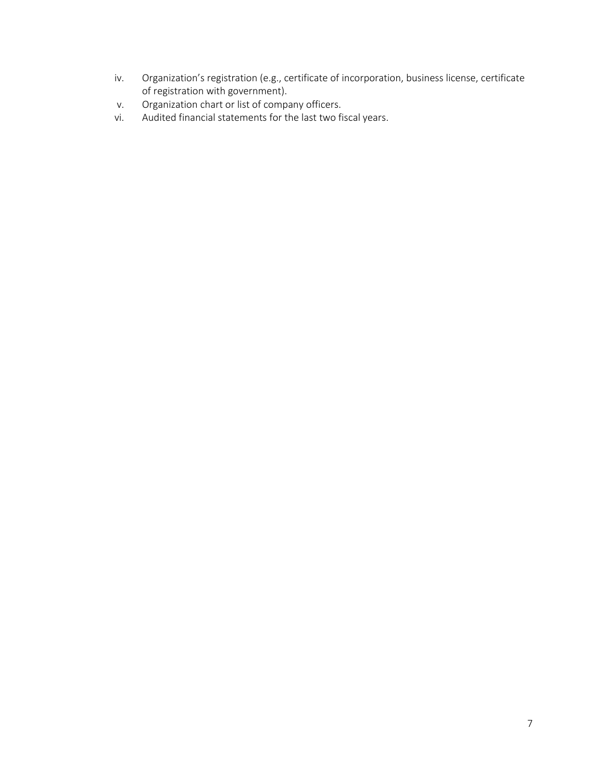- iv. Organization's registration (e.g., certificate of incorporation, business license, certificate of registration with government).
- v. Organization chart or list of company officers.
- vi. Audited financial statements for the last two fiscal years.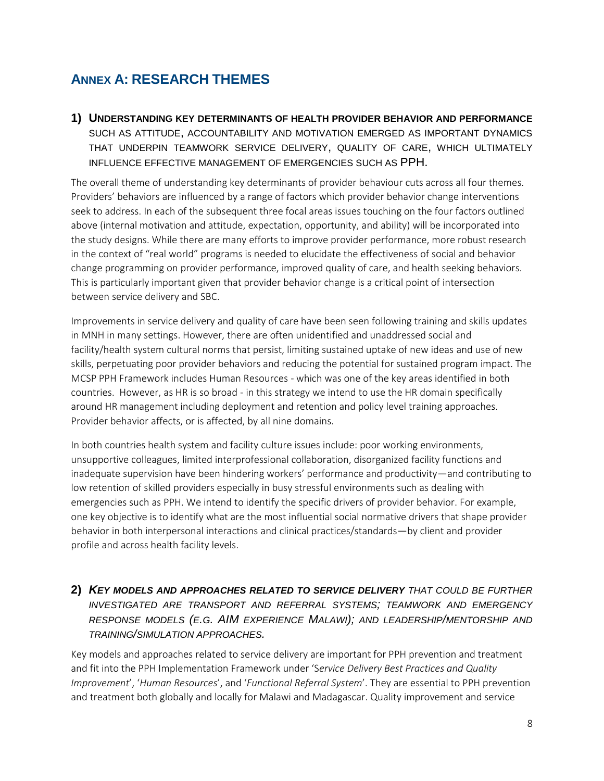## <span id="page-9-0"></span>**ANNEX A: RESEARCH THEMES**

**1) UNDERSTANDING KEY DETERMINANTS OF HEALTH PROVIDER BEHAVIOR AND PERFORMANCE** SUCH AS ATTITUDE, ACCOUNTABILITY AND MOTIVATION EMERGED AS IMPORTANT DYNAMICS THAT UNDERPIN TEAMWORK SERVICE DELIVERY, QUALITY OF CARE, WHICH ULTIMATELY INFLUENCE EFFECTIVE MANAGEMENT OF EMERGENCIES SUCH AS PPH.

The overall theme of understanding key determinants of provider behaviour cuts across all four themes. Providers' behaviors are influenced by a range of factors which provider behavior change interventions seek to address. In each of the subsequent three focal areas issues touching on the four factors outlined above (internal motivation and attitude, expectation, opportunity, and ability) will be incorporated into the study designs. While there are many efforts to improve provider performance, more robust research in the context of "real world" programs is needed to elucidate the effectiveness of social and behavior change programming on provider performance, improved quality of care, and health seeking behaviors. This is particularly important given that provider behavior change is a critical point of intersection between service delivery and SBC.

Improvements in service delivery and quality of care have been seen following training and skills updates in MNH in many settings. However, there are often unidentified and unaddressed social and facility/health system cultural norms that persist, limiting sustained uptake of new ideas and use of new skills, perpetuating poor provider behaviors and reducing the potential for sustained program impact. The MCSP PPH Framework includes Human Resources - which was one of the key areas identified in both countries. However, as HR is so broad - in this strategy we intend to use the HR domain specifically around HR management including deployment and retention and policy level training approaches. Provider behavior affects, or is affected, by all nine domains.

In both countries health system and facility culture issues include: poor working environments, unsupportive colleagues, limited interprofessional collaboration, disorganized facility functions and inadequate supervision have been hindering workers' performance and productivity—and contributing to low retention of skilled providers especially in busy stressful environments such as dealing with emergencies such as PPH. We intend to identify the specific drivers of provider behavior. For example, one key objective is to identify what are the most influential social normative drivers that shape provider behavior in both interpersonal interactions and clinical practices/standards—by client and provider profile and across health facility levels.

#### **2)** *KEY MODELS AND APPROACHES RELATED TO SERVICE DELIVERY THAT COULD BE FURTHER INVESTIGATED ARE TRANSPORT AND REFERRAL SYSTEMS; TEAMWORK AND EMERGENCY RESPONSE MODELS (E.G. AIM EXPERIENCE MALAWI); AND LEADERSHIP/MENTORSHIP AND TRAINING/SIMULATION APPROACHES.*

Key models and approaches related to service delivery are important for PPH prevention and treatment and fit into the PPH Implementation Framework under 'S*ervice Delivery Best Practices and Quality Improvement*', '*Human Resources*', and '*Functional Referral System*'. They are essential to PPH prevention and treatment both globally and locally for Malawi and Madagascar. Quality improvement and service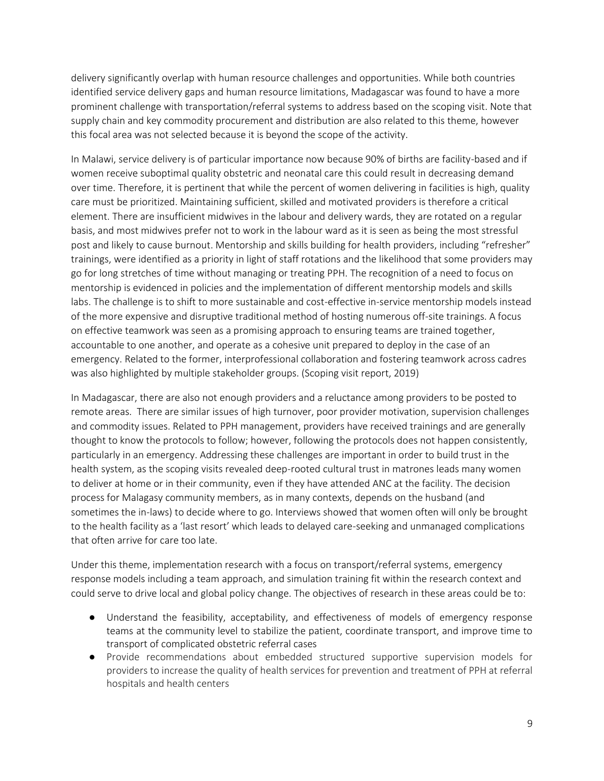delivery significantly overlap with human resource challenges and opportunities. While both countries identified service delivery gaps and human resource limitations, Madagascar was found to have a more prominent challenge with transportation/referral systems to address based on the scoping visit. Note that supply chain and key commodity procurement and distribution are also related to this theme, however this focal area was not selected because it is beyond the scope of the activity.

In Malawi, service delivery is of particular importance now because 90% of births are facility-based and if women receive suboptimal quality obstetric and neonatal care this could result in decreasing demand over time. Therefore, it is pertinent that while the percent of women delivering in facilities is high, quality care must be prioritized. Maintaining sufficient, skilled and motivated providers is therefore a critical element. There are insufficient midwives in the labour and delivery wards, they are rotated on a regular basis, and most midwives prefer not to work in the labour ward as it is seen as being the most stressful post and likely to cause burnout. Mentorship and skills building for health providers, including "refresher" trainings, were identified as a priority in light of staff rotations and the likelihood that some providers may go for long stretches of time without managing or treating PPH. The recognition of a need to focus on mentorship is evidenced in policies and the implementation of different mentorship models and skills labs. The challenge is to shift to more sustainable and cost-effective in-service mentorship models instead of the more expensive and disruptive traditional method of hosting numerous off-site trainings. A focus on effective teamwork was seen as a promising approach to ensuring teams are trained together, accountable to one another, and operate as a cohesive unit prepared to deploy in the case of an emergency. Related to the former, interprofessional collaboration and fostering teamwork across cadres was also highlighted by multiple stakeholder groups. (Scoping visit report, 2019)

In Madagascar, there are also not enough providers and a reluctance among providers to be posted to remote areas. There are similar issues of high turnover, poor provider motivation, supervision challenges and commodity issues. Related to PPH management, providers have received trainings and are generally thought to know the protocols to follow; however, following the protocols does not happen consistently, particularly in an emergency. Addressing these challenges are important in order to build trust in the health system, as the scoping visits revealed deep-rooted cultural trust in matrones leads many women to deliver at home or in their community, even if they have attended ANC at the facility. The decision process for Malagasy community members, as in many contexts, depends on the husband (and sometimes the in-laws) to decide where to go. Interviews showed that women often will only be brought to the health facility as a 'last resort' which leads to delayed care-seeking and unmanaged complications that often arrive for care too late.

Under this theme, implementation research with a focus on transport/referral systems, emergency response models including a team approach, and simulation training fit within the research context and could serve to drive local and global policy change. The objectives of research in these areas could be to:

- Understand the feasibility, acceptability, and effectiveness of models of emergency response teams at the community level to stabilize the patient, coordinate transport, and improve time to transport of complicated obstetric referral cases
- Provide recommendations about embedded structured supportive supervision models for providers to increase the quality of health services for prevention and treatment of PPH at referral hospitals and health centers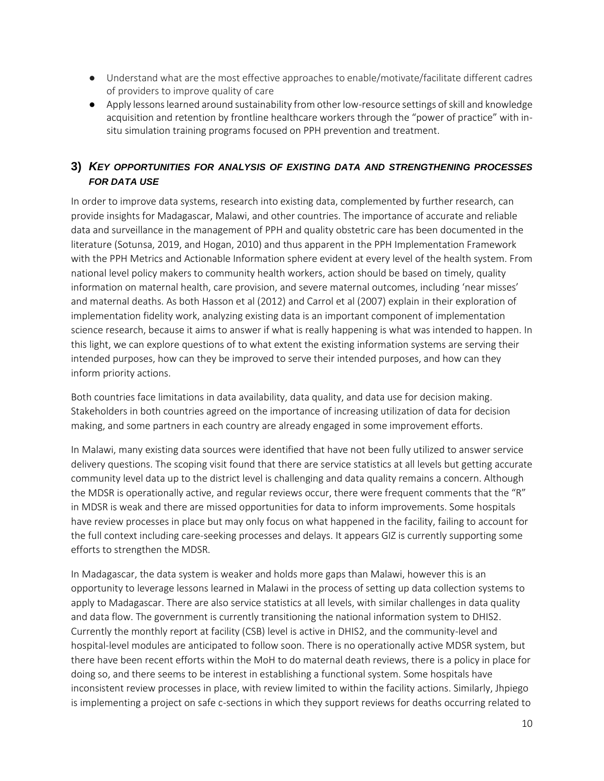- Understand what are the most effective approaches to enable/motivate/facilitate different cadres of providers to improve quality of care
- Apply lessons learned around sustainability from other low-resource settings of skill and knowledge acquisition and retention by frontline healthcare workers through the "power of practice" with insitu simulation training programs focused on PPH prevention and treatment.

#### **3)** *KEY OPPORTUNITIES FOR ANALYSIS OF EXISTING DATA AND STRENGTHENING PROCESSES FOR DATA USE*

In order to improve data systems, research into existing data, complemented by further research, can provide insights for Madagascar, Malawi, and other countries. The importance of accurate and reliable data and surveillance in the management of PPH and quality obstetric care has been documented in the literature (Sotunsa, 2019, and Hogan, 2010) and thus apparent in the PPH Implementation Framework with the PPH Metrics and Actionable Information sphere evident at every level of the health system. From national level policy makers to community health workers, action should be based on timely, quality information on maternal health, care provision, and severe maternal outcomes, including 'near misses' and maternal deaths. As both Hasson et al (2012) and Carrol et al (2007) explain in their exploration of implementation fidelity work, analyzing existing data is an important component of implementation science research, because it aims to answer if what is really happening is what was intended to happen. In this light, we can explore questions of to what extent the existing information systems are serving their intended purposes, how can they be improved to serve their intended purposes, and how can they inform priority actions.

Both countries face limitations in data availability, data quality, and data use for decision making. Stakeholders in both countries agreed on the importance of increasing utilization of data for decision making, and some partners in each country are already engaged in some improvement efforts.

In Malawi, many existing data sources were identified that have not been fully utilized to answer service delivery questions. The scoping visit found that there are service statistics at all levels but getting accurate community level data up to the district level is challenging and data quality remains a concern. Although the MDSR is operationally active, and regular reviews occur, there were frequent comments that the "R" in MDSR is weak and there are missed opportunities for data to inform improvements. Some hospitals have review processes in place but may only focus on what happened in the facility, failing to account for the full context including care-seeking processes and delays. It appears GIZ is currently supporting some efforts to strengthen the MDSR.

In Madagascar, the data system is weaker and holds more gaps than Malawi, however this is an opportunity to leverage lessons learned in Malawi in the process of setting up data collection systems to apply to Madagascar. There are also service statistics at all levels, with similar challenges in data quality and data flow. The government is currently transitioning the national information system to DHIS2. Currently the monthly report at facility (CSB) level is active in DHIS2, and the community-level and hospital-level modules are anticipated to follow soon. There is no operationally active MDSR system, but there have been recent efforts within the MoH to do maternal death reviews, there is a policy in place for doing so, and there seems to be interest in establishing a functional system. Some hospitals have inconsistent review processes in place, with review limited to within the facility actions. Similarly, Jhpiego is implementing a project on safe c-sections in which they support reviews for deaths occurring related to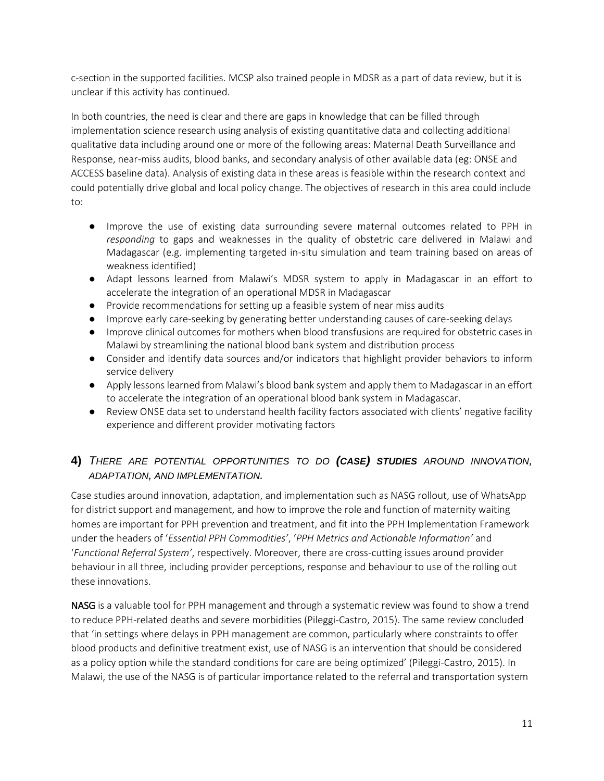c-section in the supported facilities. MCSP also trained people in MDSR as a part of data review, but it is unclear if this activity has continued.

In both countries, the need is clear and there are gaps in knowledge that can be filled through implementation science research using analysis of existing quantitative data and collecting additional qualitative data including around one or more of the following areas: Maternal Death Surveillance and Response, near-miss audits, blood banks, and secondary analysis of other available data (eg: ONSE and ACCESS baseline data). Analysis of existing data in these areas is feasible within the research context and could potentially drive global and local policy change. The objectives of research in this area could include to:

- Improve the use of existing data surrounding severe maternal outcomes related to PPH in *responding* to gaps and weaknesses in the quality of obstetric care delivered in Malawi and Madagascar (e.g. implementing targeted in-situ simulation and team training based on areas of weakness identified)
- Adapt lessons learned from Malawi's MDSR system to apply in Madagascar in an effort to accelerate the integration of an operational MDSR in Madagascar
- Provide recommendations for setting up a feasible system of near miss audits
- Improve early care-seeking by generating better understanding causes of care-seeking delays
- Improve clinical outcomes for mothers when blood transfusions are required for obstetric cases in Malawi by streamlining the national blood bank system and distribution process
- Consider and identify data sources and/or indicators that highlight provider behaviors to inform service delivery
- Apply lessons learned from Malawi's blood bank system and apply them to Madagascar in an effort to accelerate the integration of an operational blood bank system in Madagascar.
- Review ONSE data set to understand health facility factors associated with clients' negative facility experience and different provider motivating factors

#### **4)** *THERE ARE POTENTIAL OPPORTUNITIES TO DO (CASE) STUDIES AROUND INNOVATION, ADAPTATION, AND IMPLEMENTATION.*

Case studies around innovation, adaptation, and implementation such as NASG rollout, use of WhatsApp for district support and management, and how to improve the role and function of maternity waiting homes are important for PPH prevention and treatment, and fit into the PPH Implementation Framework under the headers of '*Essential PPH Commodities'*, '*PPH Metrics and Actionable Information'* and '*Functional Referral System'*, respectively. Moreover, there are cross-cutting issues around provider behaviour in all three, including provider perceptions, response and behaviour to use of the rolling out these innovations.

NASG is a valuable tool for PPH management and through a systematic review was found to show a trend to reduce PPH-related deaths and severe morbidities (Pileggi-Castro, 2015). The same review concluded that 'in settings where delays in PPH management are common, particularly where constraints to offer blood products and definitive treatment exist, use of NASG is an intervention that should be considered as a policy option while the standard conditions for care are being optimized' (Pileggi-Castro, 2015). In Malawi, the use of the NASG is of particular importance related to the referral and transportation system